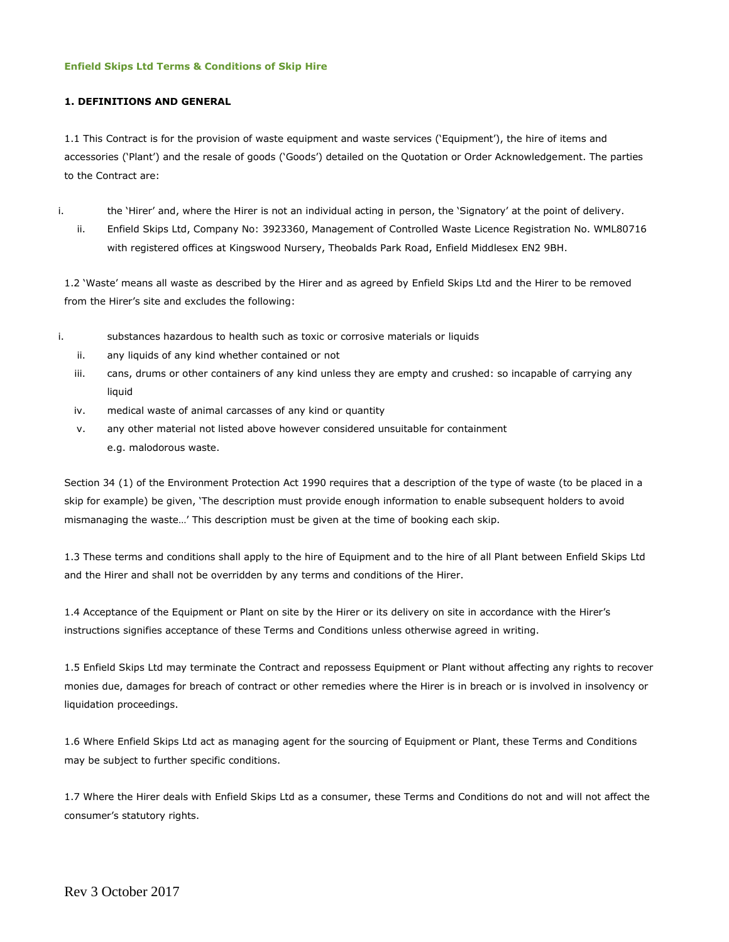#### **Enfield Skips Ltd Terms & Conditions of Skip Hire**

### **1. DEFINITIONS AND GENERAL**

1.1 This Contract is for the provision of waste equipment and waste services ('Equipment'), the hire of items and accessories ('Plant') and the resale of goods ('Goods') detailed on the Quotation or Order Acknowledgement. The parties to the Contract are:

- i. the 'Hirer' and, where the Hirer is not an individual acting in person, the 'Signatory' at the point of delivery.
	- ii. Enfield Skips Ltd, Company No: 3923360, Management of Controlled Waste Licence Registration No. WML80716 with registered offices at Kingswood Nursery, Theobalds Park Road, Enfield Middlesex EN2 9BH.

1.2 'Waste' means all waste as described by the Hirer and as agreed by Enfield Skips Ltd and the Hirer to be removed from the Hirer's site and excludes the following:

- i. substances hazardous to health such as toxic or corrosive materials or liquids
	- ii. any liquids of any kind whether contained or not
	- iii. cans, drums or other containers of any kind unless they are empty and crushed: so incapable of carrying any liquid
	- iv. medical waste of animal carcasses of any kind or quantity
	- v. any other material not listed above however considered unsuitable for containment e.g. malodorous waste.

Section 34 (1) of the Environment Protection Act 1990 requires that a description of the type of waste (to be placed in a skip for example) be given, 'The description must provide enough information to enable subsequent holders to avoid mismanaging the waste…' This description must be given at the time of booking each skip.

1.3 These terms and conditions shall apply to the hire of Equipment and to the hire of all Plant between Enfield Skips Ltd and the Hirer and shall not be overridden by any terms and conditions of the Hirer.

1.4 Acceptance of the Equipment or Plant on site by the Hirer or its delivery on site in accordance with the Hirer's instructions signifies acceptance of these Terms and Conditions unless otherwise agreed in writing.

1.5 Enfield Skips Ltd may terminate the Contract and repossess Equipment or Plant without affecting any rights to recover monies due, damages for breach of contract or other remedies where the Hirer is in breach or is involved in insolvency or liquidation proceedings.

1.6 Where Enfield Skips Ltd act as managing agent for the sourcing of Equipment or Plant, these Terms and Conditions may be subject to further specific conditions.

1.7 Where the Hirer deals with Enfield Skips Ltd as a consumer, these Terms and Conditions do not and will not affect the consumer's statutory rights.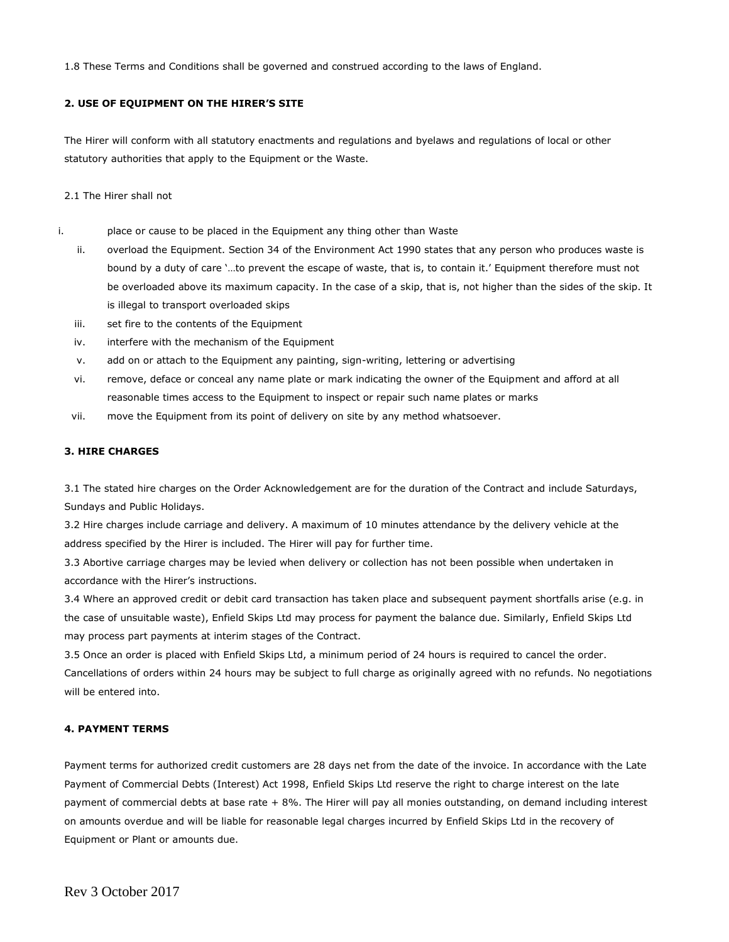1.8 These Terms and Conditions shall be governed and construed according to the laws of England.

# **2. USE OF EQUIPMENT ON THE HIRER'S SITE**

The Hirer will conform with all statutory enactments and regulations and byelaws and regulations of local or other statutory authorities that apply to the Equipment or the Waste.

### 2.1 The Hirer shall not

- i. place or cause to be placed in the Equipment any thing other than Waste
	- ii. overload the Equipment. Section 34 of the Environment Act 1990 states that any person who produces waste is bound by a duty of care '…to prevent the escape of waste, that is, to contain it.' Equipment therefore must not be overloaded above its maximum capacity. In the case of a skip, that is, not higher than the sides of the skip. It is illegal to transport overloaded skips
	- iii. set fire to the contents of the Equipment
	- iv. interfere with the mechanism of the Equipment
	- v. add on or attach to the Equipment any painting, sign-writing, lettering or advertising
	- vi. remove, deface or conceal any name plate or mark indicating the owner of the Equipment and afford at all reasonable times access to the Equipment to inspect or repair such name plates or marks
	- vii. move the Equipment from its point of delivery on site by any method whatsoever.

# **3. HIRE CHARGES**

3.1 The stated hire charges on the Order Acknowledgement are for the duration of the Contract and include Saturdays, Sundays and Public Holidays.

3.2 Hire charges include carriage and delivery. A maximum of 10 minutes attendance by the delivery vehicle at the address specified by the Hirer is included. The Hirer will pay for further time.

3.3 Abortive carriage charges may be levied when delivery or collection has not been possible when undertaken in accordance with the Hirer's instructions.

3.4 Where an approved credit or debit card transaction has taken place and subsequent payment shortfalls arise (e.g. in the case of unsuitable waste), Enfield Skips Ltd may process for payment the balance due. Similarly, Enfield Skips Ltd may process part payments at interim stages of the Contract.

3.5 Once an order is placed with Enfield Skips Ltd, a minimum period of 24 hours is required to cancel the order. Cancellations of orders within 24 hours may be subject to full charge as originally agreed with no refunds. No negotiations will be entered into.

# **4. PAYMENT TERMS**

Payment terms for authorized credit customers are 28 days net from the date of the invoice. In accordance with the Late Payment of Commercial Debts (Interest) Act 1998, Enfield Skips Ltd reserve the right to charge interest on the late payment of commercial debts at base rate + 8%. The Hirer will pay all monies outstanding, on demand including interest on amounts overdue and will be liable for reasonable legal charges incurred by Enfield Skips Ltd in the recovery of Equipment or Plant or amounts due.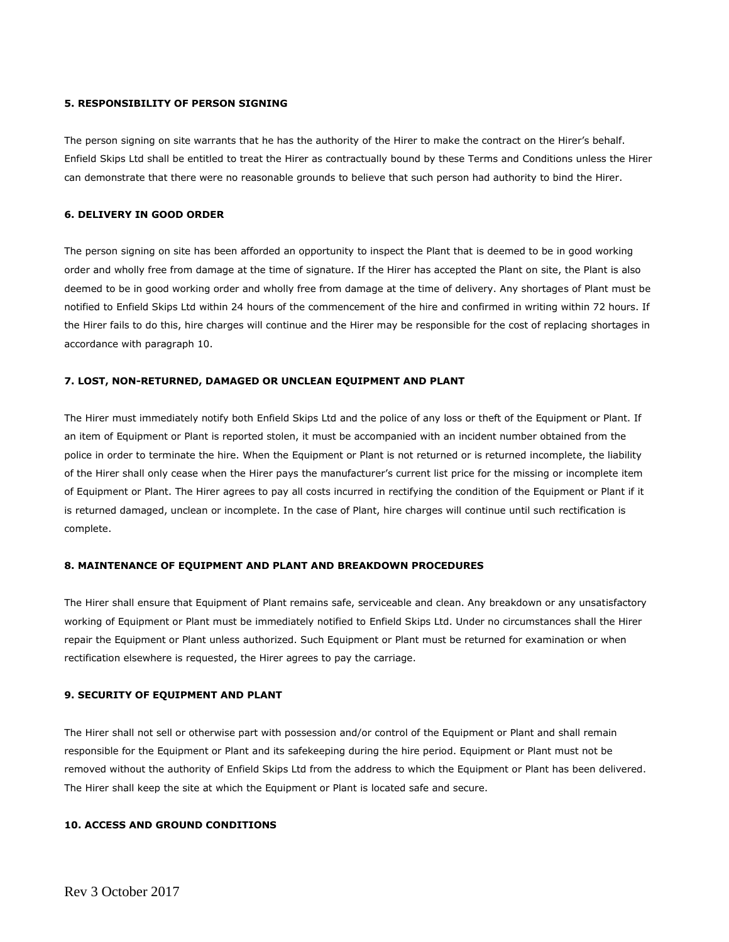#### **5. RESPONSIBILITY OF PERSON SIGNING**

The person signing on site warrants that he has the authority of the Hirer to make the contract on the Hirer's behalf. Enfield Skips Ltd shall be entitled to treat the Hirer as contractually bound by these Terms and Conditions unless the Hirer can demonstrate that there were no reasonable grounds to believe that such person had authority to bind the Hirer.

#### **6. DELIVERY IN GOOD ORDER**

The person signing on site has been afforded an opportunity to inspect the Plant that is deemed to be in good working order and wholly free from damage at the time of signature. If the Hirer has accepted the Plant on site, the Plant is also deemed to be in good working order and wholly free from damage at the time of delivery. Any shortages of Plant must be notified to Enfield Skips Ltd within 24 hours of the commencement of the hire and confirmed in writing within 72 hours. If the Hirer fails to do this, hire charges will continue and the Hirer may be responsible for the cost of replacing shortages in accordance with paragraph 10.

#### **7. LOST, NON-RETURNED, DAMAGED OR UNCLEAN EQUIPMENT AND PLANT**

The Hirer must immediately notify both Enfield Skips Ltd and the police of any loss or theft of the Equipment or Plant. If an item of Equipment or Plant is reported stolen, it must be accompanied with an incident number obtained from the police in order to terminate the hire. When the Equipment or Plant is not returned or is returned incomplete, the liability of the Hirer shall only cease when the Hirer pays the manufacturer's current list price for the missing or incomplete item of Equipment or Plant. The Hirer agrees to pay all costs incurred in rectifying the condition of the Equipment or Plant if it is returned damaged, unclean or incomplete. In the case of Plant, hire charges will continue until such rectification is complete.

#### **8. MAINTENANCE OF EQUIPMENT AND PLANT AND BREAKDOWN PROCEDURES**

The Hirer shall ensure that Equipment of Plant remains safe, serviceable and clean. Any breakdown or any unsatisfactory working of Equipment or Plant must be immediately notified to Enfield Skips Ltd. Under no circumstances shall the Hirer repair the Equipment or Plant unless authorized. Such Equipment or Plant must be returned for examination or when rectification elsewhere is requested, the Hirer agrees to pay the carriage.

#### **9. SECURITY OF EQUIPMENT AND PLANT**

The Hirer shall not sell or otherwise part with possession and/or control of the Equipment or Plant and shall remain responsible for the Equipment or Plant and its safekeeping during the hire period. Equipment or Plant must not be removed without the authority of Enfield Skips Ltd from the address to which the Equipment or Plant has been delivered. The Hirer shall keep the site at which the Equipment or Plant is located safe and secure.

#### **10. ACCESS AND GROUND CONDITIONS**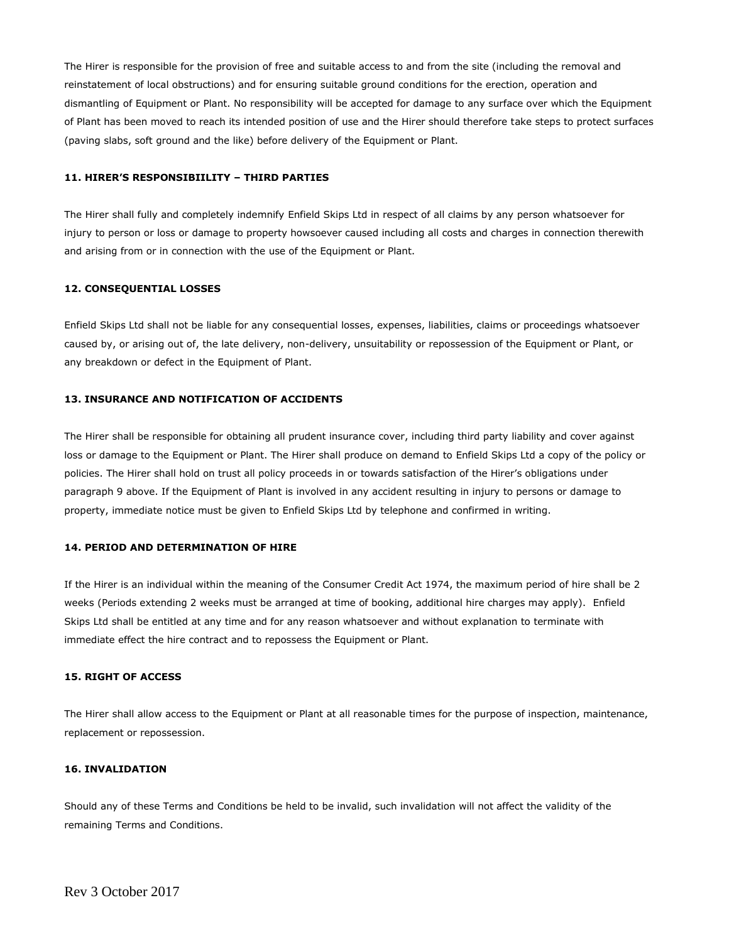The Hirer is responsible for the provision of free and suitable access to and from the site (including the removal and reinstatement of local obstructions) and for ensuring suitable ground conditions for the erection, operation and dismantling of Equipment or Plant. No responsibility will be accepted for damage to any surface over which the Equipment of Plant has been moved to reach its intended position of use and the Hirer should therefore take steps to protect surfaces (paving slabs, soft ground and the like) before delivery of the Equipment or Plant.

# **11. HIRER'S RESPONSIBIILITY – THIRD PARTIES**

The Hirer shall fully and completely indemnify Enfield Skips Ltd in respect of all claims by any person whatsoever for injury to person or loss or damage to property howsoever caused including all costs and charges in connection therewith and arising from or in connection with the use of the Equipment or Plant.

#### **12. CONSEQUENTIAL LOSSES**

Enfield Skips Ltd shall not be liable for any consequential losses, expenses, liabilities, claims or proceedings whatsoever caused by, or arising out of, the late delivery, non-delivery, unsuitability or repossession of the Equipment or Plant, or any breakdown or defect in the Equipment of Plant.

# **13. INSURANCE AND NOTIFICATION OF ACCIDENTS**

The Hirer shall be responsible for obtaining all prudent insurance cover, including third party liability and cover against loss or damage to the Equipment or Plant. The Hirer shall produce on demand to Enfield Skips Ltd a copy of the policy or policies. The Hirer shall hold on trust all policy proceeds in or towards satisfaction of the Hirer's obligations under paragraph 9 above. If the Equipment of Plant is involved in any accident resulting in injury to persons or damage to property, immediate notice must be given to Enfield Skips Ltd by telephone and confirmed in writing.

# **14. PERIOD AND DETERMINATION OF HIRE**

If the Hirer is an individual within the meaning of the Consumer Credit Act 1974, the maximum period of hire shall be 2 weeks (Periods extending 2 weeks must be arranged at time of booking, additional hire charges may apply). Enfield Skips Ltd shall be entitled at any time and for any reason whatsoever and without explanation to terminate with immediate effect the hire contract and to repossess the Equipment or Plant.

#### **15. RIGHT OF ACCESS**

The Hirer shall allow access to the Equipment or Plant at all reasonable times for the purpose of inspection, maintenance, replacement or repossession.

## **16. INVALIDATION**

Should any of these Terms and Conditions be held to be invalid, such invalidation will not affect the validity of the remaining Terms and Conditions.